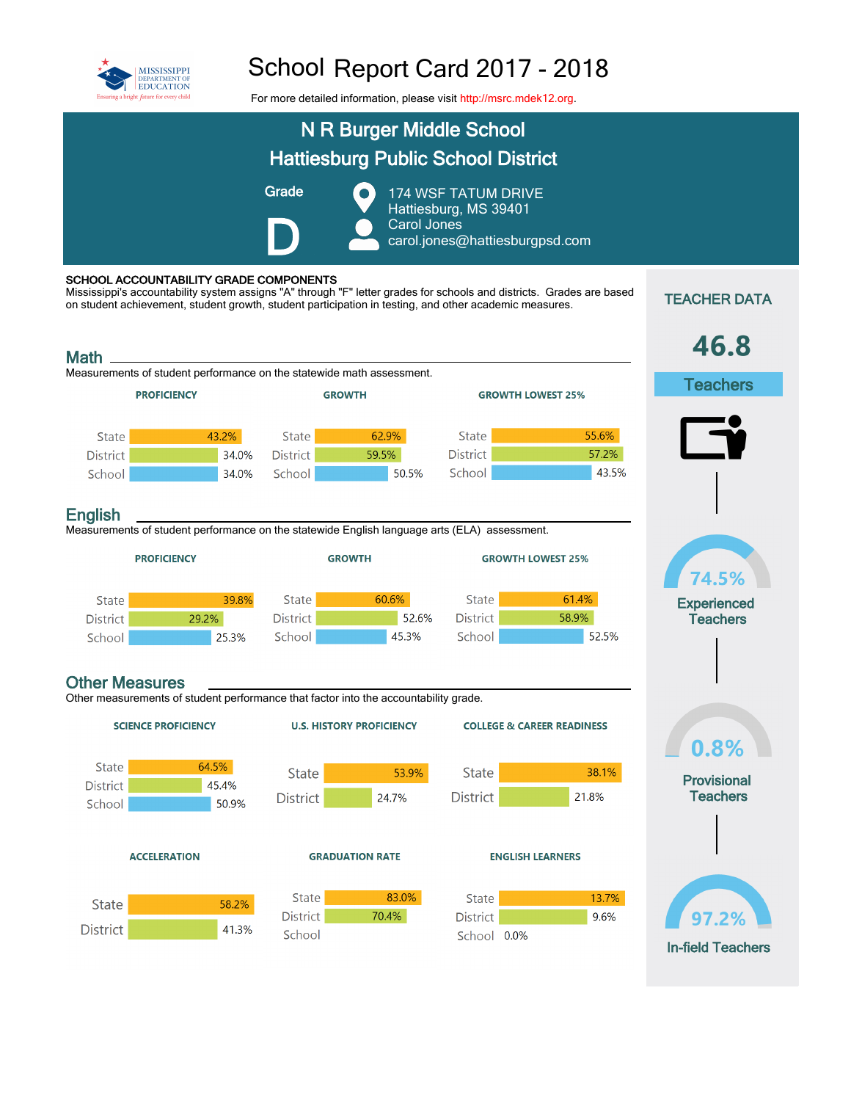

## School Report Card 2017 - 2018

For more detailed information, please visit [http://msrc.mdek12.org.](http://msrc.mdek12.org/)